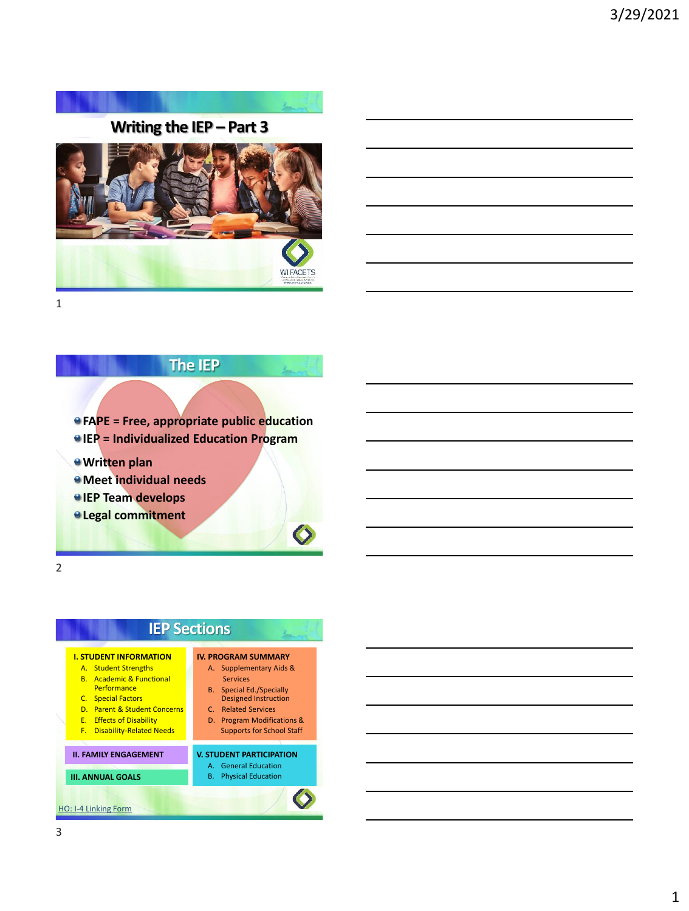



## **The IEP**

**FAPE = Free, appropriate public education IEP = Individualized Education Program**

- **Written plan**
- *Meet individual needs*
- *<u>IEP Team develops</u>*
- **Legal commitment**

2

# **IEP Sections**

## **I. STUDENT INFORMATION**

- A. Student Strengths
- B. Academic & Functional **Performance**
- C. Special Factors
- D. Parent & Student Concerns
- E. Effects of Disability
- F. Disability-Related Needs

### **II. FAMILY ENGAGEMENT**

**III. ANNUAL GOALS**  [HO: I-4 Linking Form](https://dpi.wi.gov/sped/laws-procedures-bulletins/procedures/sample/forms)

#### **IV. PROGRAM SUMMARY** A. Supplementary Aids &

- Services B. Special Ed./Specially
- Designed Instruction
- C. Related Services D. Program Modifications &
- Supports for School Staff

### **V. STUDENT PARTICIPATION**

- A. General Education
- B. Physical Education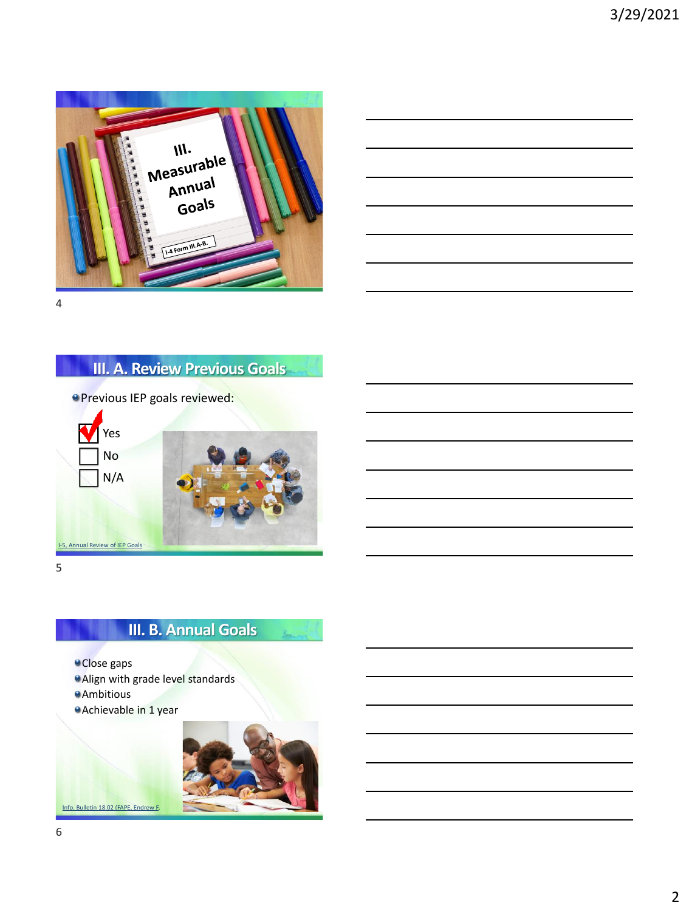



# **III. A. Review Previous Goals**

Previous IEP goals reviewed:



5

# **III. B. Annual Goals**

Close gaps Align with grade level standards **Ambitious** Achievable in 1 year





[Info. Bulletin 18.02 \(FAPE, Endrew F.](https://dpi.wi.gov/sped/laws-procedures-bulletins/bulletins/18-02)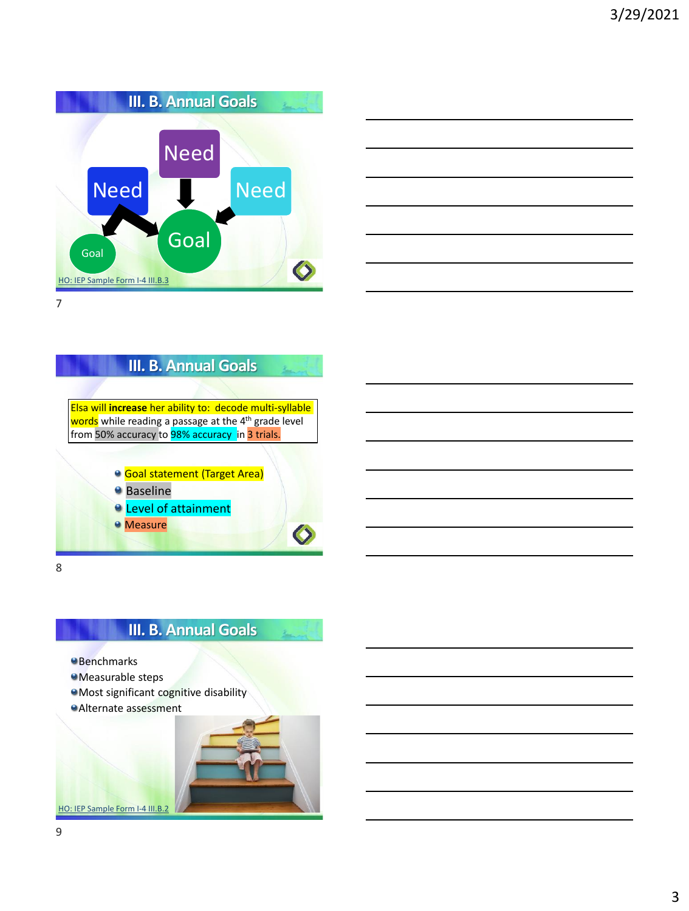





# **III. B. Annual Goals**

- **Benchmarks**
- Measurable steps
- Most significant cognitive disability
- Alternate assessment

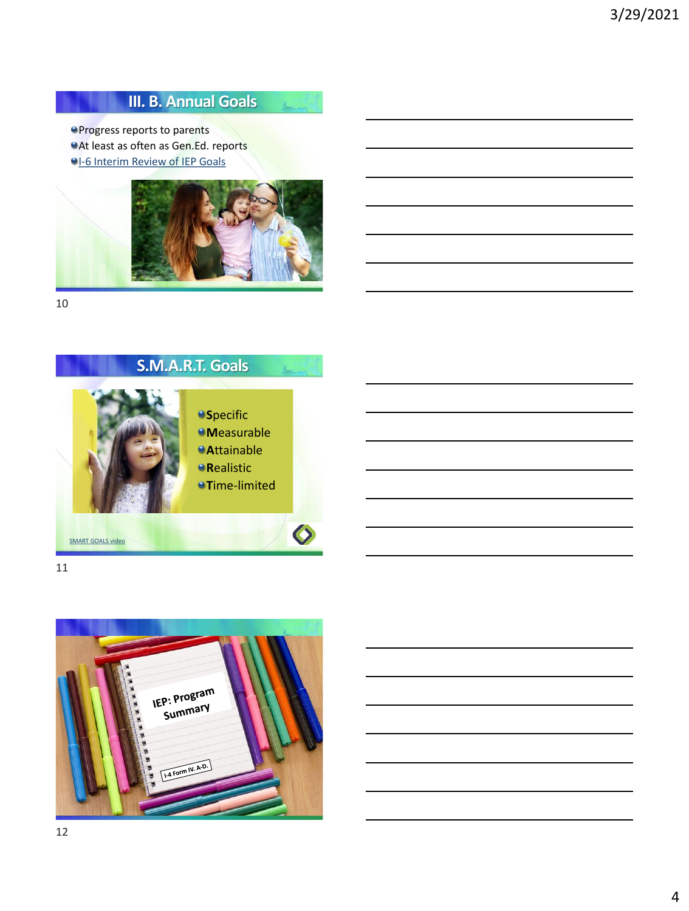# **III. B. Annual Goals**

 $\mathbf{z}_{\text{max}}$ 

**Progress reports to parents** 

**At least as often as Gen.Ed. reports** 

**[I-6 Interim Review of IEP Goals](https://dpi.wi.gov/sped/laws-procedures-bulletins/procedures/sample/forms)** 



10

# **S.M.A.R.T. Goals**



11

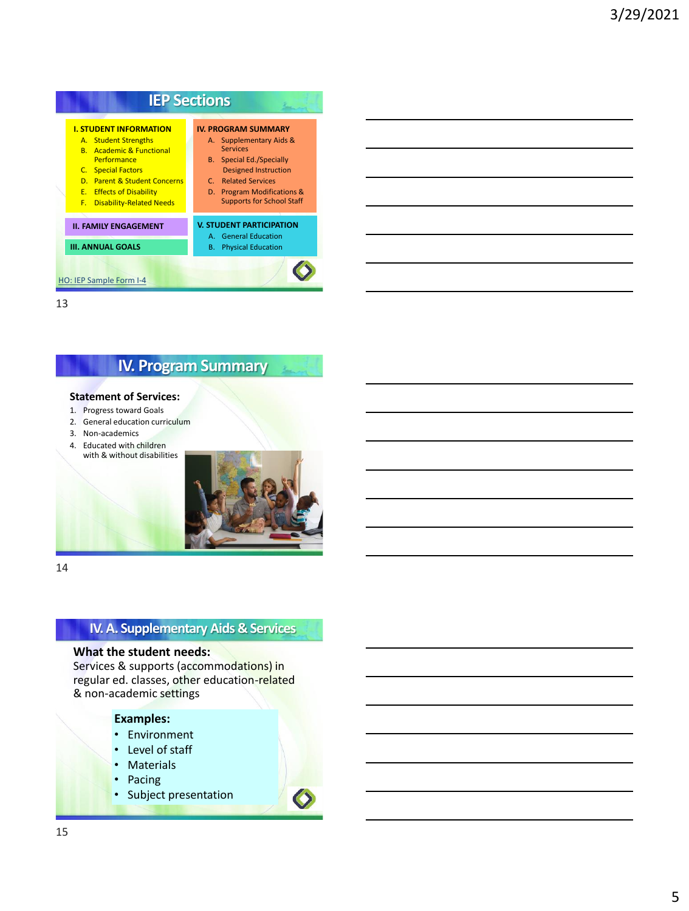

## **IV. Program Summary**

#### **Statement of Services:**

- 1. Progress toward Goals 2. General education curriculum
- 
- 3. Non-academics 4. Educated with children
- with & without disabilities



14

## **IV. A. Supplementary Aids & Services**

### **What the student needs:**

Services & supports (accommodations) in regular ed. classes, other education-related & non-academic settings

### **Examples:**

- Environment
- Level of staff
- Materials
- Pacing
- Subject presentation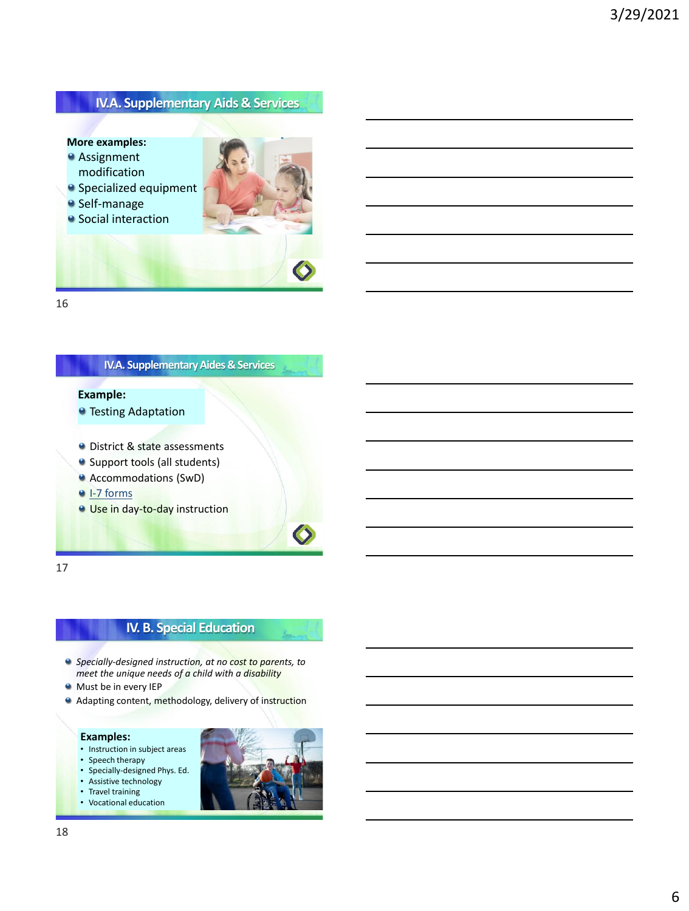## **IV.A. Supplementary Aids & Services**

### **More examples:**

- **Assignment** modification
- **Self-manage**
- **•** Social interaction



16

### **IV.A. Supplementary Aides & Services**

### **Example:**

- **O** Testing Adaptation
- **O** District & state assessments
- Support tools (all students)
- Accommodations (SwD)
- <sup>●</sup> [I-7 forms](https://dpi.wi.gov/sped/laws-procedures-bulletins/procedures/sample/forms)
- **Use in day-to-day instruction**

17

## **IV. B. Special Education**

- *Specially-designed instruction, at no cost to parents, to meet the unique needs of a child with a disability*
- **Must be in every IEP**
- **Adapting content, methodology, delivery of instruction**

#### **Examples:**

- Instruction in subject areas
- Speech therapy
- Specially-designed Phys. Ed.
- Assistive technology
- Travel training
- Vocational education

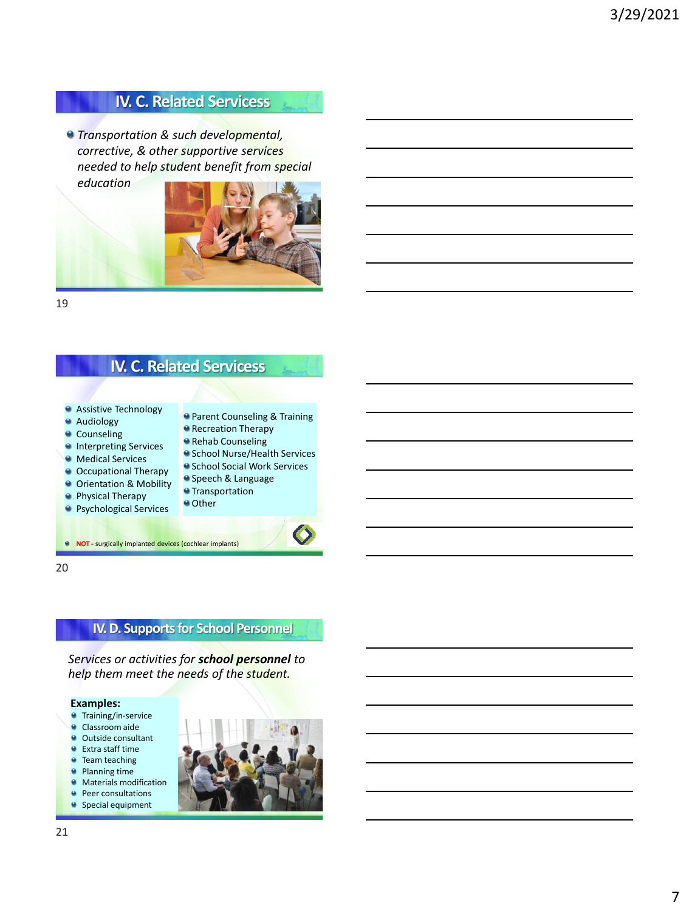# **IV. C. Related Servicess**

*Transportation & such developmental, corrective, & other supportive services needed to help student benefit from special education*



19

## **IV. C. Related Servicess**

- **Assistive Technology**
- **Audiology**
- **Counseling**
- **Interpreting Services**
- **Medical Services**
- **O** Occupational Therapy
- **O** Orientation & Mobility
- **Physical Therapy**
- **Psychological Services**

**Rehab Counseling** School Nurse/Health Services **• School Social Work Services Speech & Language** 

**Parent Counseling & Training Recreation Therapy** 

- **•** Transportation
- <sup>o</sup> Other

**NOT** - surgically implanted devices (cochlear implants)

20

## **IV. D. Supports for School Personnel**

*Services or activities for school personnel to help them meet the needs of the student.*

#### **Examples:**

- **Training/in-service**
- **Classroom aide**
- **Outside consultant**
- Extra staff time
- **Team teaching**
- **Planning time**
- **Materials modification Peer consultations**
- **Special equipment**